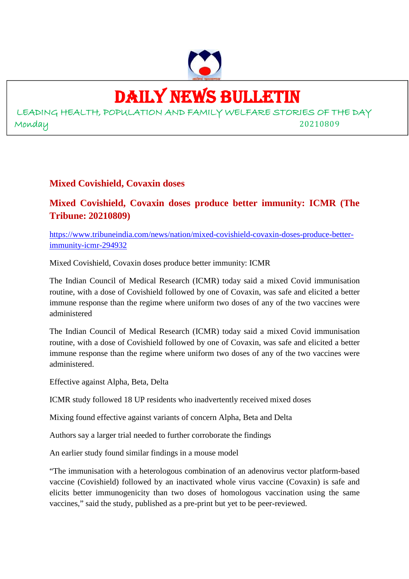

## DAILY NEWS BULLETIN

LEADING HEALTH, POPULATION AND FAMILY WELFARE STORIES OF THE DAY Monday 20210809

## **Mixed Covishield, Covaxin doses**

**Mixed Covishield, Covaxin doses produce better immunity: ICMR (The Tribune: 20210809)**

https://www.tribuneindia.com/news/nation/mixed-covishield-covaxin-doses-produce-betterimmunity-icmr-294932

Mixed Covishield, Covaxin doses produce better immunity: ICMR

The Indian Council of Medical Research (ICMR) today said a mixed Covid immunisation routine, with a dose of Covishield followed by one of Covaxin, was safe and elicited a better immune response than the regime where uniform two doses of any of the two vaccines were administered

The Indian Council of Medical Research (ICMR) today said a mixed Covid immunisation routine, with a dose of Covishield followed by one of Covaxin, was safe and elicited a better immune response than the regime where uniform two doses of any of the two vaccines were administered.

Effective against Alpha, Beta, Delta

ICMR study followed 18 UP residents who inadvertently received mixed doses

Mixing found effective against variants of concern Alpha, Beta and Delta

Authors say a larger trial needed to further corroborate the findings

An earlier study found similar findings in a mouse model

"The immunisation with a heterologous combination of an adenovirus vector platform-based vaccine (Covishield) followed by an inactivated whole virus vaccine (Covaxin) is safe and elicits better immunogenicity than two doses of homologous vaccination using the same vaccines," said the study, published as a pre-print but yet to be peer-reviewed.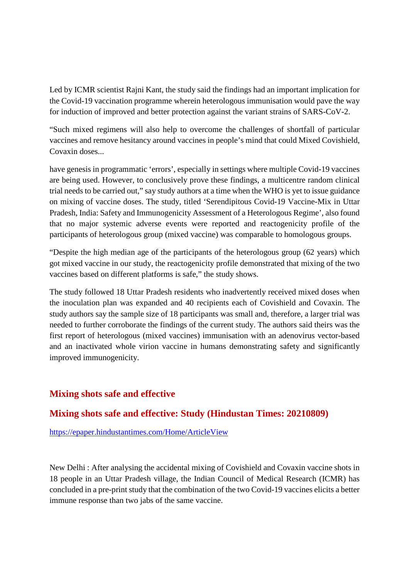Led by ICMR scientist Rajni Kant, the study said the findings had an important implication for the Covid-19 vaccination programme wherein heterologous immunisation would pave the way for induction of improved and better protection against the variant strains of SARS-CoV-2.

"Such mixed regimens will also help to overcome the challenges of shortfall of particular vaccines and remove hesitancy around vaccines in people's mind that could Mixed Covishield, Covaxin doses...

have genesis in programmatic 'errors', especially in settings where multiple Covid-19 vaccines are being used. However, to conclusively prove these findings, a multicentre random clinical trial needs to be carried out," say study authors at a time when the WHO is yet to issue guidance on mixing of vaccine doses. The study, titled 'Serendipitous Covid-19 Vaccine-Mix in Uttar Pradesh, India: Safety and Immunogenicity Assessment of a Heterologous Regime', also found that no major systemic adverse events were reported and reactogenicity profile of the participants of heterologous group (mixed vaccine) was comparable to homologous groups.

"Despite the high median age of the participants of the heterologous group (62 years) which got mixed vaccine in our study, the reactogenicity profile demonstrated that mixing of the two vaccines based on different platforms is safe," the study shows.

The study followed 18 Uttar Pradesh residents who inadvertently received mixed doses when the inoculation plan was expanded and 40 recipients each of Covishield and Covaxin. The study authors say the sample size of 18 participants was small and, therefore, a larger trial was needed to further corroborate the findings of the current study. The authors said theirs was the first report of heterologous (mixed vaccines) immunisation with an adenovirus vector-based and an inactivated whole virion vaccine in humans demonstrating safety and significantly improved immunogenicity.

## **Mixing shots safe and effective**

## **Mixing shots safe and effective: Study (Hindustan Times: 20210809)**

https://epaper.hindustantimes.com/Home/ArticleView

New Delhi : After analysing the accidental mixing of Covishield and Covaxin vaccine shots in 18 people in an Uttar Pradesh village, the Indian Council of Medical Research (ICMR) has concluded in a pre-print study that the combination of the two Covid-19 vaccines elicits a better immune response than two jabs of the same vaccine.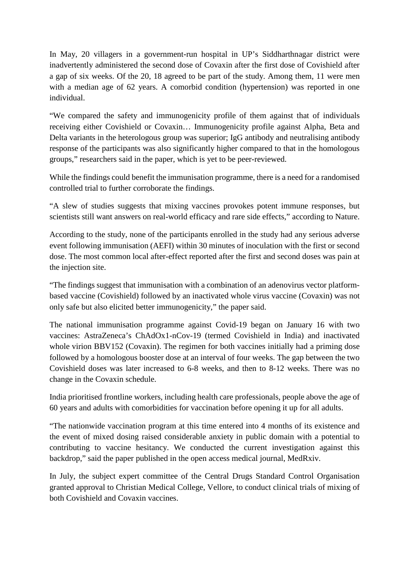In May, 20 villagers in a government-run hospital in UP's Siddharthnagar district were inadvertently administered the second dose of Covaxin after the first dose of Covishield after a gap of six weeks. Of the 20, 18 agreed to be part of the study. Among them, 11 were men with a median age of 62 years. A comorbid condition (hypertension) was reported in one individual.

"We compared the safety and immunogenicity profile of them against that of individuals receiving either Covishield or Covaxin… Immunogenicity profile against Alpha, Beta and Delta variants in the heterologous group was superior; IgG antibody and neutralising antibody response of the participants was also significantly higher compared to that in the homologous groups," researchers said in the paper, which is yet to be peer-reviewed.

While the findings could benefit the immunisation programme, there is a need for a randomised controlled trial to further corroborate the findings.

"A slew of studies suggests that mixing vaccines provokes potent immune responses, but scientists still want answers on real-world efficacy and rare side effects," according to Nature.

According to the study, none of the participants enrolled in the study had any serious adverse event following immunisation (AEFI) within 30 minutes of inoculation with the first or second dose. The most common local after-effect reported after the first and second doses was pain at the injection site.

"The findings suggest that immunisation with a combination of an adenovirus vector platformbased vaccine (Covishield) followed by an inactivated whole virus vaccine (Covaxin) was not only safe but also elicited better immunogenicity," the paper said.

The national immunisation programme against Covid-19 began on January 16 with two vaccines: AstraZeneca's ChAdOx1-nCov-19 (termed Covishield in India) and inactivated whole virion BBV152 (Covaxin). The regimen for both vaccines initially had a priming dose followed by a homologous booster dose at an interval of four weeks. The gap between the two Covishield doses was later increased to 6-8 weeks, and then to 8-12 weeks. There was no change in the Covaxin schedule.

India prioritised frontline workers, including health care professionals, people above the age of 60 years and adults with comorbidities for vaccination before opening it up for all adults.

"The nationwide vaccination program at this time entered into 4 months of its existence and the event of mixed dosing raised considerable anxiety in public domain with a potential to contributing to vaccine hesitancy. We conducted the current investigation against this backdrop," said the paper published in the open access medical journal, MedRxiv.

In July, the subject expert committee of the Central Drugs Standard Control Organisation granted approval to Christian Medical College, Vellore, to conduct clinical trials of mixing of both Covishield and Covaxin vaccines.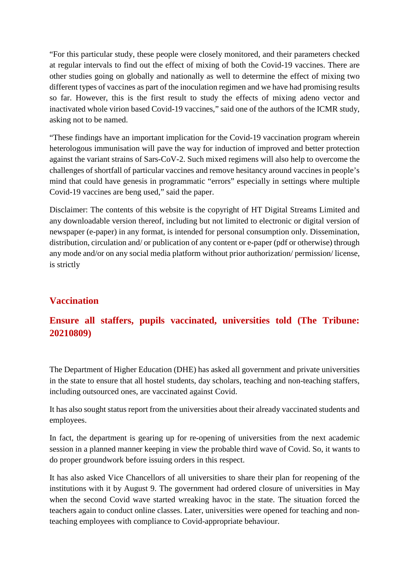"For this particular study, these people were closely monitored, and their parameters checked at regular intervals to find out the effect of mixing of both the Covid-19 vaccines. There are other studies going on globally and nationally as well to determine the effect of mixing two different types of vaccines as part of the inoculation regimen and we have had promising results so far. However, this is the first result to study the effects of mixing adeno vector and inactivated whole virion based Covid-19 vaccines," said one of the authors of the ICMR study, asking not to be named.

"These findings have an important implication for the Covid-19 vaccination program wherein heterologous immunisation will pave the way for induction of improved and better protection against the variant strains of Sars-CoV-2. Such mixed regimens will also help to overcome the challenges of shortfall of particular vaccines and remove hesitancy around vaccines in people's mind that could have genesis in programmatic "errors" especially in settings where multiple Covid-19 vaccines are beng used," said the paper.

Disclaimer: The contents of this website is the copyright of HT Digital Streams Limited and any downloadable version thereof, including but not limited to electronic or digital version of newspaper (e-paper) in any format, is intended for personal consumption only. Dissemination, distribution, circulation and/ or publication of any content or e-paper (pdf or otherwise) through any mode and/or on any social media platform without prior authorization/ permission/ license, is strictly

## **Vaccination**

## **Ensure all staffers, pupils vaccinated, universities told (The Tribune: 20210809)**

The Department of Higher Education (DHE) has asked all government and private universities in the state to ensure that all hostel students, day scholars, teaching and non-teaching staffers, including outsourced ones, are vaccinated against Covid.

It has also sought status report from the universities about their already vaccinated students and employees.

In fact, the department is gearing up for re-opening of universities from the next academic session in a planned manner keeping in view the probable third wave of Covid. So, it wants to do proper groundwork before issuing orders in this respect.

It has also asked Vice Chancellors of all universities to share their plan for reopening of the institutions with it by August 9. The government had ordered closure of universities in May when the second Covid wave started wreaking havoc in the state. The situation forced the teachers again to conduct online classes. Later, universities were opened for teaching and nonteaching employees with compliance to Covid-appropriate behaviour.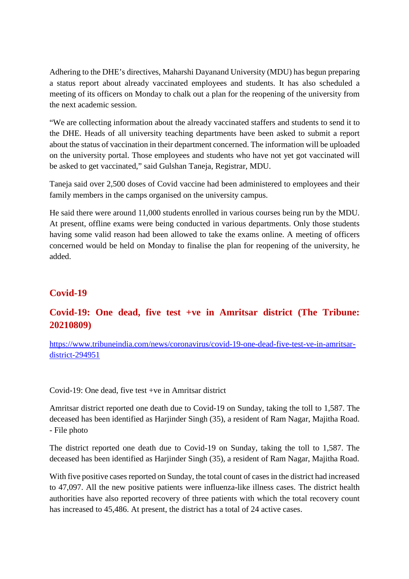Adhering to the DHE's directives, Maharshi Dayanand University (MDU) has begun preparing a status report about already vaccinated employees and students. It has also scheduled a meeting of its officers on Monday to chalk out a plan for the reopening of the university from the next academic session.

"We are collecting information about the already vaccinated staffers and students to send it to the DHE. Heads of all university teaching departments have been asked to submit a report about the status of vaccination in their department concerned. The information will be uploaded on the university portal. Those employees and students who have not yet got vaccinated will be asked to get vaccinated," said Gulshan Taneja, Registrar, MDU.

Taneja said over 2,500 doses of Covid vaccine had been administered to employees and their family members in the camps organised on the university campus.

He said there were around 11,000 students enrolled in various courses being run by the MDU. At present, offline exams were being conducted in various departments. Only those students having some valid reason had been allowed to take the exams online. A meeting of officers concerned would be held on Monday to finalise the plan for reopening of the university, he added.

## **Covid-19**

## **Covid-19: One dead, five test +ve in Amritsar district (The Tribune: 20210809)**

https://www.tribuneindia.com/news/coronavirus/covid-19-one-dead-five-test-ve-in-amritsardistrict-294951

Covid-19: One dead, five test +ve in Amritsar district

Amritsar district reported one death due to Covid-19 on Sunday, taking the toll to 1,587. The deceased has been identified as Harjinder Singh (35), a resident of Ram Nagar, Majitha Road. - File photo

The district reported one death due to Covid-19 on Sunday, taking the toll to 1,587. The deceased has been identified as Harjinder Singh (35), a resident of Ram Nagar, Majitha Road.

With five positive cases reported on Sunday, the total count of cases in the district had increased to 47,097. All the new positive patients were influenza-like illness cases. The district health authorities have also reported recovery of three patients with which the total recovery count has increased to 45,486. At present, the district has a total of 24 active cases.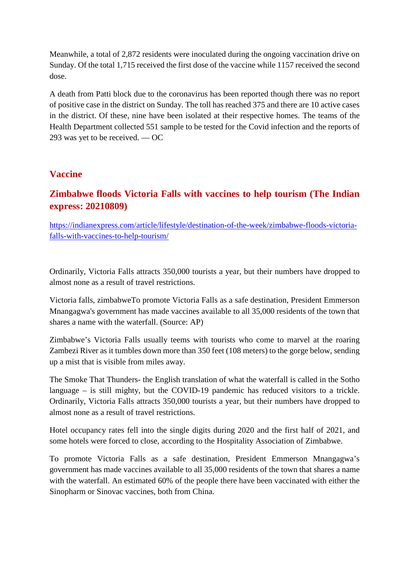Meanwhile, a total of 2,872 residents were inoculated during the ongoing vaccination drive on Sunday. Of the total 1,715 received the first dose of the vaccine while 1157 received the second dose.

A death from Patti block due to the coronavirus has been reported though there was no report of positive case in the district on Sunday. The toll has reached 375 and there are 10 active cases in the district. Of these, nine have been isolated at their respective homes. The teams of the Health Department collected 551 sample to be tested for the Covid infection and the reports of 293 was yet to be received. — OC

#### **Vaccine**

## **Zimbabwe floods Victoria Falls with vaccines to help tourism (The Indian express: 20210809)**

https://indianexpress.com/article/lifestyle/destination-of-the-week/zimbabwe-floods-victoriafalls-with-vaccines-to-help-tourism/

Ordinarily, Victoria Falls attracts 350,000 tourists a year, but their numbers have dropped to almost none as a result of travel restrictions.

Victoria falls, zimbabweTo promote Victoria Falls as a safe destination, President Emmerson Mnangagwa's government has made vaccines available to all 35,000 residents of the town that shares a name with the waterfall. (Source: AP)

Zimbabwe's Victoria Falls usually teems with tourists who come to marvel at the roaring Zambezi River as it tumbles down more than 350 feet (108 meters) to the gorge below, sending up a mist that is visible from miles away.

The Smoke That Thunders- the English translation of what the waterfall is called in the Sotho language – is still mighty, but the COVID-19 pandemic has reduced visitors to a trickle. Ordinarily, Victoria Falls attracts 350,000 tourists a year, but their numbers have dropped to almost none as a result of travel restrictions.

Hotel occupancy rates fell into the single digits during 2020 and the first half of 2021, and some hotels were forced to close, according to the Hospitality Association of Zimbabwe.

To promote Victoria Falls as a safe destination, President Emmerson Mnangagwa's government has made vaccines available to all 35,000 residents of the town that shares a name with the waterfall. An estimated 60% of the people there have been vaccinated with either the Sinopharm or Sinovac vaccines, both from China.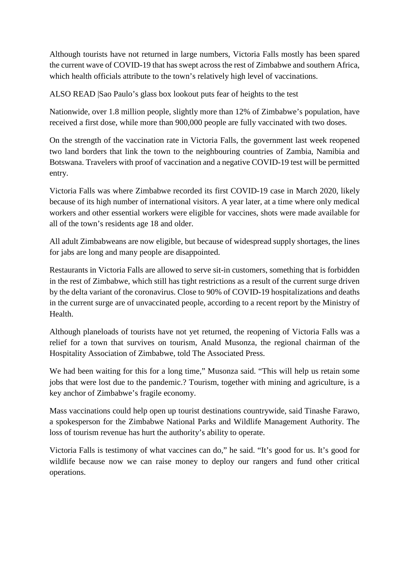Although tourists have not returned in large numbers, Victoria Falls mostly has been spared the current wave of COVID-19 that has swept across the rest of Zimbabwe and southern Africa, which health officials attribute to the town's relatively high level of vaccinations.

ALSO READ |Sao Paulo's glass box lookout puts fear of heights to the test

Nationwide, over 1.8 million people, slightly more than 12% of Zimbabwe's population, have received a first dose, while more than 900,000 people are fully vaccinated with two doses.

On the strength of the vaccination rate in Victoria Falls, the government last week reopened two land borders that link the town to the neighbouring countries of Zambia, Namibia and Botswana. Travelers with proof of vaccination and a negative COVID-19 test will be permitted entry.

Victoria Falls was where Zimbabwe recorded its first COVID-19 case in March 2020, likely because of its high number of international visitors. A year later, at a time where only medical workers and other essential workers were eligible for vaccines, shots were made available for all of the town's residents age 18 and older.

All adult Zimbabweans are now eligible, but because of widespread supply shortages, the lines for jabs are long and many people are disappointed.

Restaurants in Victoria Falls are allowed to serve sit-in customers, something that is forbidden in the rest of Zimbabwe, which still has tight restrictions as a result of the current surge driven by the delta variant of the coronavirus. Close to 90% of COVID-19 hospitalizations and deaths in the current surge are of unvaccinated people, according to a recent report by the Ministry of Health.

Although planeloads of tourists have not yet returned, the reopening of Victoria Falls was a relief for a town that survives on tourism, Anald Musonza, the regional chairman of the Hospitality Association of Zimbabwe, told The Associated Press.

We had been waiting for this for a long time," Musonza said. "This will help us retain some jobs that were lost due to the pandemic.? Tourism, together with mining and agriculture, is a key anchor of Zimbabwe's fragile economy.

Mass vaccinations could help open up tourist destinations countrywide, said Tinashe Farawo, a spokesperson for the Zimbabwe National Parks and Wildlife Management Authority. The loss of tourism revenue has hurt the authority's ability to operate.

Victoria Falls is testimony of what vaccines can do," he said. "It's good for us. It's good for wildlife because now we can raise money to deploy our rangers and fund other critical operations.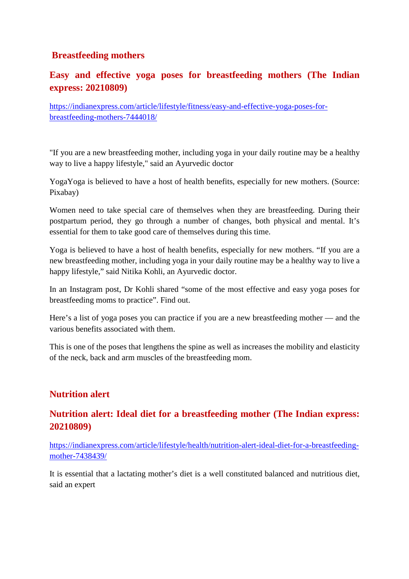## **Breastfeeding mothers**

## **Easy and effective yoga poses for breastfeeding mothers (The Indian express: 20210809)**

https://indianexpress.com/article/lifestyle/fitness/easy-and-effective-yoga-poses-forbreastfeeding-mothers-7444018/

"If you are a new breastfeeding mother, including yoga in your daily routine may be a healthy way to live a happy lifestyle," said an Ayurvedic doctor

YogaYoga is believed to have a host of health benefits, especially for new mothers. (Source: Pixabay)

Women need to take special care of themselves when they are breastfeeding. During their postpartum period, they go through a number of changes, both physical and mental. It's essential for them to take good care of themselves during this time.

Yoga is believed to have a host of health benefits, especially for new mothers. "If you are a new breastfeeding mother, including yoga in your daily routine may be a healthy way to live a happy lifestyle," said Nitika Kohli, an Ayurvedic doctor.

In an Instagram post, Dr Kohli shared "some of the most effective and easy yoga poses for breastfeeding moms to practice". Find out.

Here's a list of yoga poses you can practice if you are a new breastfeeding mother — and the various benefits associated with them.

This is one of the poses that lengthens the spine as well as increases the mobility and elasticity of the neck, back and arm muscles of the breastfeeding mom.

## **Nutrition alert**

## **Nutrition alert: Ideal diet for a breastfeeding mother (The Indian express: 20210809)**

https://indianexpress.com/article/lifestyle/health/nutrition-alert-ideal-diet-for-a-breastfeedingmother-7438439/

It is essential that a lactating mother's diet is a well constituted balanced and nutritious diet, said an expert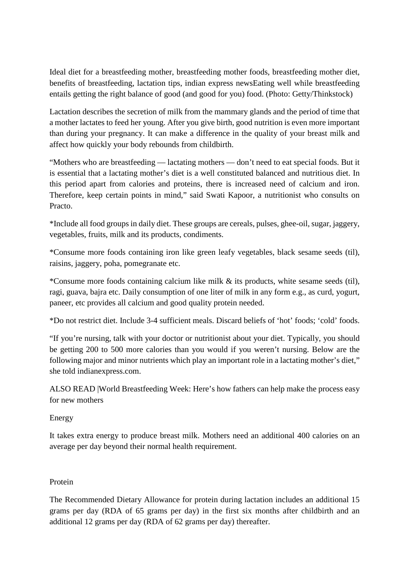Ideal diet for a breastfeeding mother, breastfeeding mother foods, breastfeeding mother diet, benefits of breastfeeding, lactation tips, indian express newsEating well while breastfeeding entails getting the right balance of good (and good for you) food. (Photo: Getty/Thinkstock)

Lactation describes the secretion of milk from the mammary glands and the period of time that a mother lactates to feed her young. After you give birth, good nutrition is even more important than during your pregnancy. It can make a difference in the quality of your breast milk and affect how quickly your body rebounds from childbirth.

"Mothers who are breastfeeding — lactating mothers — don't need to eat special foods. But it is essential that a lactating mother's diet is a well constituted balanced and nutritious diet. In this period apart from calories and proteins, there is increased need of calcium and iron. Therefore, keep certain points in mind," said Swati Kapoor, a nutritionist who consults on Practo.

\*Include all food groups in daily diet. These groups are cereals, pulses, ghee-oil, sugar, jaggery, vegetables, fruits, milk and its products, condiments.

\*Consume more foods containing iron like green leafy vegetables, black sesame seeds (til), raisins, jaggery, poha, pomegranate etc.

\*Consume more foods containing calcium like milk & its products, white sesame seeds (til), ragi, guava, bajra etc. Daily consumption of one liter of milk in any form e.g., as curd, yogurt, paneer, etc provides all calcium and good quality protein needed.

\*Do not restrict diet. Include 3-4 sufficient meals. Discard beliefs of 'hot' foods; 'cold' foods.

"If you're nursing, talk with your doctor or nutritionist about your diet. Typically, you should be getting 200 to 500 more calories than you would if you weren't nursing. Below are the following major and minor nutrients which play an important role in a lactating mother's diet," she told indianexpress.com.

ALSO READ |World Breastfeeding Week: Here's how fathers can help make the process easy for new mothers

Energy

It takes extra energy to produce breast milk. Mothers need an additional 400 calories on an average per day beyond their normal health requirement.

#### Protein

The Recommended Dietary Allowance for protein during lactation includes an additional 15 grams per day (RDA of 65 grams per day) in the first six months after childbirth and an additional 12 grams per day (RDA of 62 grams per day) thereafter.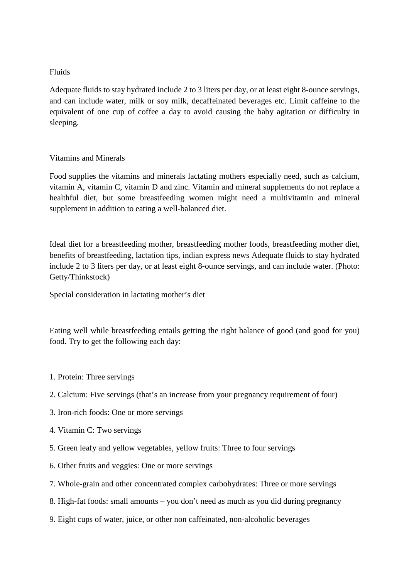#### Fluids

Adequate fluids to stay hydrated include 2 to 3 liters per day, or at least eight 8-ounce servings, and can include water, milk or soy milk, decaffeinated beverages etc. Limit caffeine to the equivalent of one cup of coffee a day to avoid causing the baby agitation or difficulty in sleeping.

#### Vitamins and Minerals

Food supplies the vitamins and minerals lactating mothers especially need, such as calcium, vitamin A, vitamin C, vitamin D and zinc. Vitamin and mineral supplements do not replace a healthful diet, but some breastfeeding women might need a multivitamin and mineral supplement in addition to eating a well-balanced diet.

Ideal diet for a breastfeeding mother, breastfeeding mother foods, breastfeeding mother diet, benefits of breastfeeding, lactation tips, indian express news Adequate fluids to stay hydrated include 2 to 3 liters per day, or at least eight 8-ounce servings, and can include water. (Photo: Getty/Thinkstock)

Special consideration in lactating mother's diet

Eating well while breastfeeding entails getting the right balance of good (and good for you) food. Try to get the following each day:

- 1. Protein: Three servings
- 2. Calcium: Five servings (that's an increase from your pregnancy requirement of four)
- 3. Iron-rich foods: One or more servings
- 4. Vitamin C: Two servings
- 5. Green leafy and yellow vegetables, yellow fruits: Three to four servings
- 6. Other fruits and veggies: One or more servings
- 7. Whole-grain and other concentrated complex carbohydrates: Three or more servings
- 8. High-fat foods: small amounts you don't need as much as you did during pregnancy
- 9. Eight cups of water, juice, or other non caffeinated, non-alcoholic beverages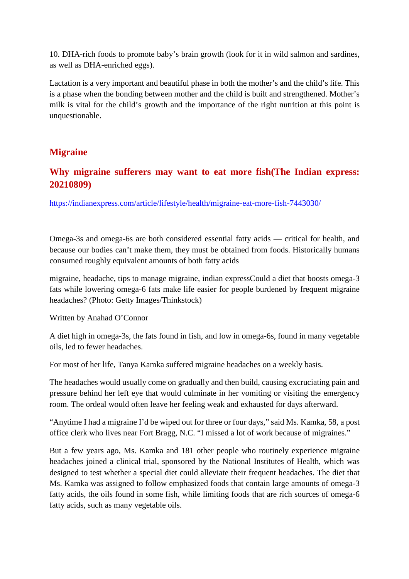10. DHA-rich foods to promote baby's brain growth (look for it in wild salmon and sardines, as well as DHA-enriched eggs).

Lactation is a very important and beautiful phase in both the mother's and the child's life. This is a phase when the bonding between mother and the child is built and strengthened. Mother's milk is vital for the child's growth and the importance of the right nutrition at this point is unquestionable.

## **Migraine**

## **Why migraine sufferers may want to eat more fish(The Indian express: 20210809)**

https://indianexpress.com/article/lifestyle/health/migraine-eat-more-fish-7443030/

Omega-3s and omega-6s are both considered essential fatty acids — critical for health, and because our bodies can't make them, they must be obtained from foods. Historically humans consumed roughly equivalent amounts of both fatty acids

migraine, headache, tips to manage migraine, indian expressCould a diet that boosts omega-3 fats while lowering omega-6 fats make life easier for people burdened by frequent migraine headaches? (Photo: Getty Images/Thinkstock)

Written by Anahad O'Connor

A diet high in omega-3s, the fats found in fish, and low in omega-6s, found in many vegetable oils, led to fewer headaches.

For most of her life, Tanya Kamka suffered migraine headaches on a weekly basis.

The headaches would usually come on gradually and then build, causing excruciating pain and pressure behind her left eye that would culminate in her vomiting or visiting the emergency room. The ordeal would often leave her feeling weak and exhausted for days afterward.

"Anytime I had a migraine I'd be wiped out for three or four days," said Ms. Kamka, 58, a post office clerk who lives near Fort Bragg, N.C. "I missed a lot of work because of migraines."

But a few years ago, Ms. Kamka and 181 other people who routinely experience migraine headaches joined a clinical trial, sponsored by the National Institutes of Health, which was designed to test whether a special diet could alleviate their frequent headaches. The diet that Ms. Kamka was assigned to follow emphasized foods that contain large amounts of omega-3 fatty acids, the oils found in some fish, while limiting foods that are rich sources of omega-6 fatty acids, such as many vegetable oils.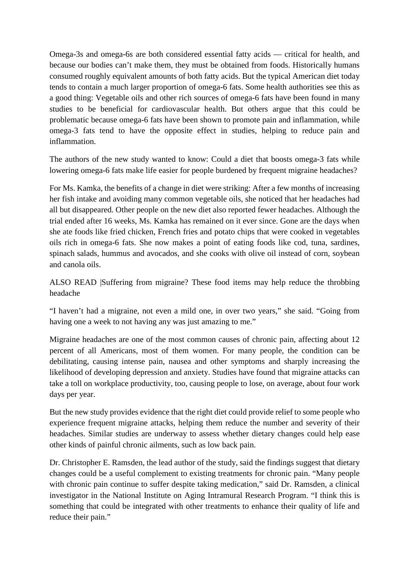Omega-3s and omega-6s are both considered essential fatty acids — critical for health, and because our bodies can't make them, they must be obtained from foods. Historically humans consumed roughly equivalent amounts of both fatty acids. But the typical American diet today tends to contain a much larger proportion of omega-6 fats. Some health authorities see this as a good thing: Vegetable oils and other rich sources of omega-6 fats have been found in many studies to be beneficial for cardiovascular health. But others argue that this could be problematic because omega-6 fats have been shown to promote pain and inflammation, while omega-3 fats tend to have the opposite effect in studies, helping to reduce pain and inflammation.

The authors of the new study wanted to know: Could a diet that boosts omega-3 fats while lowering omega-6 fats make life easier for people burdened by frequent migraine headaches?

For Ms. Kamka, the benefits of a change in diet were striking: After a few months of increasing her fish intake and avoiding many common vegetable oils, she noticed that her headaches had all but disappeared. Other people on the new diet also reported fewer headaches. Although the trial ended after 16 weeks, Ms. Kamka has remained on it ever since. Gone are the days when she ate foods like fried chicken, French fries and potato chips that were cooked in vegetables oils rich in omega-6 fats. She now makes a point of eating foods like cod, tuna, sardines, spinach salads, hummus and avocados, and she cooks with olive oil instead of corn, soybean and canola oils.

ALSO READ |Suffering from migraine? These food items may help reduce the throbbing headache

"I haven't had a migraine, not even a mild one, in over two years," she said. "Going from having one a week to not having any was just amazing to me."

Migraine headaches are one of the most common causes of chronic pain, affecting about 12 percent of all Americans, most of them women. For many people, the condition can be debilitating, causing intense pain, nausea and other symptoms and sharply increasing the likelihood of developing depression and anxiety. Studies have found that migraine attacks can take a toll on workplace productivity, too, causing people to lose, on average, about four work days per year.

But the new study provides evidence that the right diet could provide relief to some people who experience frequent migraine attacks, helping them reduce the number and severity of their headaches. Similar studies are underway to assess whether dietary changes could help ease other kinds of painful chronic ailments, such as low back pain.

Dr. Christopher E. Ramsden, the lead author of the study, said the findings suggest that dietary changes could be a useful complement to existing treatments for chronic pain. "Many people with chronic pain continue to suffer despite taking medication," said Dr. Ramsden, a clinical investigator in the National Institute on Aging Intramural Research Program. "I think this is something that could be integrated with other treatments to enhance their quality of life and reduce their pain."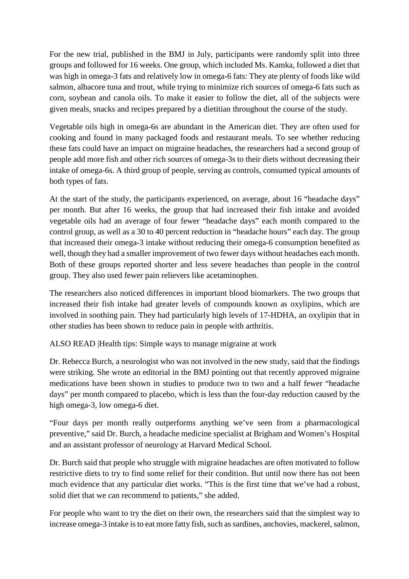For the new trial, published in the BMJ in July, participants were randomly split into three groups and followed for 16 weeks. One group, which included Ms. Kamka, followed a diet that was high in omega-3 fats and relatively low in omega-6 fats: They ate plenty of foods like wild salmon, albacore tuna and trout, while trying to minimize rich sources of omega-6 fats such as corn, soybean and canola oils. To make it easier to follow the diet, all of the subjects were given meals, snacks and recipes prepared by a dietitian throughout the course of the study.

Vegetable oils high in omega-6s are abundant in the American diet. They are often used for cooking and found in many packaged foods and restaurant meals. To see whether reducing these fats could have an impact on migraine headaches, the researchers had a second group of people add more fish and other rich sources of omega-3s to their diets without decreasing their intake of omega-6s. A third group of people, serving as controls, consumed typical amounts of both types of fats.

At the start of the study, the participants experienced, on average, about 16 "headache days" per month. But after 16 weeks, the group that had increased their fish intake and avoided vegetable oils had an average of four fewer "headache days" each month compared to the control group, as well as a 30 to 40 percent reduction in "headache hours" each day. The group that increased their omega-3 intake without reducing their omega-6 consumption benefited as well, though they had a smaller improvement of two fewer days without headaches each month. Both of these groups reported shorter and less severe headaches than people in the control group. They also used fewer pain relievers like acetaminophen.

The researchers also noticed differences in important blood biomarkers. The two groups that increased their fish intake had greater levels of compounds known as oxylipins, which are involved in soothing pain. They had particularly high levels of 17-HDHA, an oxylipin that in other studies has been shown to reduce pain in people with arthritis.

ALSO READ |Health tips: Simple ways to manage migraine at work

Dr. Rebecca Burch, a neurologist who was not involved in the new study, said that the findings were striking. She wrote an editorial in the BMJ pointing out that recently approved migraine medications have been shown in studies to produce two to two and a half fewer "headache days" per month compared to placebo, which is less than the four-day reduction caused by the high omega-3, low omega-6 diet.

"Four days per month really outperforms anything we've seen from a pharmacological preventive," said Dr. Burch, a headache medicine specialist at Brigham and Women's Hospital and an assistant professor of neurology at Harvard Medical School.

Dr. Burch said that people who struggle with migraine headaches are often motivated to follow restrictive diets to try to find some relief for their condition. But until now there has not been much evidence that any particular diet works. "This is the first time that we've had a robust, solid diet that we can recommend to patients," she added.

For people who want to try the diet on their own, the researchers said that the simplest way to increase omega-3 intake is to eat more fatty fish, such as sardines, anchovies, mackerel, salmon,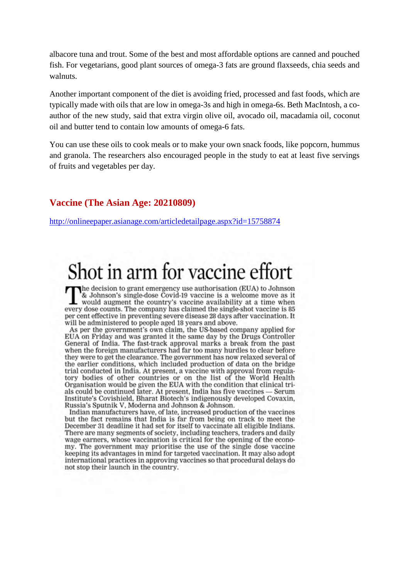albacore tuna and trout. Some of the best and most affordable options are canned and pouched fish. For vegetarians, good plant sources of omega-3 fats are ground flaxseeds, chia seeds and walnuts.

Another important component of the diet is avoiding fried, processed and fast foods, which are typically made with oils that are low in omega-3s and high in omega-6s. Beth MacIntosh, a coauthor of the new study, said that extra virgin olive oil, avocado oil, macadamia oil, coconut oil and butter tend to contain low amounts of omega-6 fats.

You can use these oils to cook meals or to make your own snack foods, like popcorn, hummus and granola. The researchers also encouraged people in the study to eat at least five servings of fruits and vegetables per day.

#### **Vaccine (The Asian Age: 20210809)**

http://onlineepaper.asianage.com/articledetailpage.aspx?id=15758874

## Shot in arm for vaccine effort

The decision to grant emergency use authorisation (EUA) to Johnson & Johnson's single-dose Covid-19 vaccine is a welcome move as it would augment the country's vaccine availability at a time when every dose counts. The company has claimed the single-shot vaccine is 85 per cent effective in preventing severe disease 28 days after vaccination. It will be administered to people aged 18 years and above.

As per the government's own claim, the US-based company applied for EUA on Friday and was granted it the same day by the Drugs Controller General of India. The fast-track approval marks a break from the past when the foreign manufacturers had far too many hurdles to clear before they were to get the clearance. The government has now relaxed several of the earlier conditions, which included production of data on the bridge trial conducted in India. At present, a vaccine with approval from regulatory bodies of other countries or on the list of the World Health Organisation would be given the EUA with the condition that clinical trials could be continued later. At present, India has five vaccines - Serum Institute's Covishield, Bharat Biotech's indigenously developed Covaxin, Russia's Sputnik V, Moderna and Johnson & Johnson.

Indian manufacturers have, of late, increased production of the vaccines but the fact remains that India is far from being on track to meet the December 31 deadline it had set for itself to vaccinate all eligible Indians. There are many segments of society, including teachers, traders and daily wage earners, whose vaccination is critical for the opening of the economy. The government may prioritise the use of the single dose vaccine keeping its advantages in mind for targeted vaccination. It may also adopt international practices in approving vaccines so that procedural delays do not stop their launch in the country.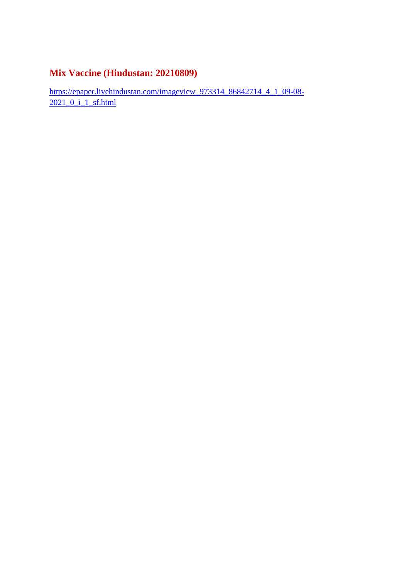## **Mix Vaccine (Hindustan: 20210809)**

https://epaper.livehindustan.com/imageview\_973314\_86842714\_4\_1\_09-08- 2021\_0\_i\_1\_sf.html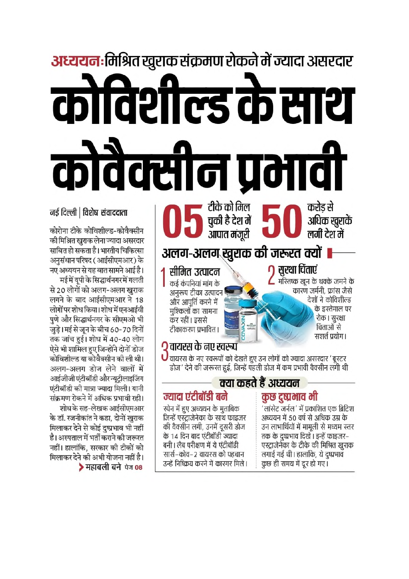# अध्ययन:मिश्रित खुराक संक्रमण रोकने में ज्यादा असरदार काविशील्ड के साथ कविक्सीन प्रभावी करोड से

टीके को मिल 05 चुकी है देश में<br>आपात मंजूरी

अलग-अलग खुराक की जरूरत क्यों ∎

X<sub>un</sub>

 $9$  सुरक्षा चिंताएं

**∠** मस्तिष्क खून के थक्के जमने के कारण जर्मनी, फ्रांस जैसे देशों ने कोविशील्ड के इस्तेमाल पर रोक । सुरक्षा चिंताओं से सशर्त प्रयोग।

अधिक खुराकें

लगी देश में

सीमित उत्पादन कई कंपनियां मांग के अनुरूप टीका उत्पादन और आपूर्ति करने में मुश्किलों का सामना कर रहीं। इससे टीकाकरण प्रभावित ।

**)** वायरस के नए स्वरूप

 $\mathsf{\mathsf{U}}$  वायरस के नए स्वरूपों को देखते हुए उन लोगों को ज्यादा असरदार 'बूस्टर डोज ' देने की जरूरत हुई, जिन्हें पहली डोज में कम प्रभावी वैक्सीन लगी थी

## क्या कहते हैं अध्ययन

## कुछ दुष्प्रभाव भी

'लांसेट जर्नल' में प्रकाशित एक ब्रिटिश अध्ययन में 50 वर्ष से अधिक उम्र के उन लाभार्थियों में मामली से मध्यम स्तर तक के दुष्प्रभाव दिखें। इन्हें फाइजर– एस्ट्राजेनेका के टीके की मिश्रित खुराक लगाई गई थी। हालांकि, ये दुष्प्रभाव कुछ ही समय में दूर हो गए।

## ज्यादा एंटीबॉडी बने

स्पेन में हुए अध्ययन के मुताबिक जिन्हें एस्टाजेनेका के साथ फाइजर की वैक्सीन लगी, उनमें दूसरी डोज के 14 दिन बाद एंटीबॉडी ज्यादा बनी। लैब परीक्षण में ये एंटीबॉडी सार्स–कोव–२ वायरस को पहचान उन्हें निष्क्रिय करने में कारगर मिले।

नई दिल्ली | विशेष संवाददाता

कोरोना टीके कोविशील्ड-कोवैक्सीन की मिश्रित खुराक लेना ज्यादा असरदार साबित हो सकता है। भारतीय चिकित्सा अनुसंधान परिषद (आईसीएमआर) के नए अध्ययन से यह बात सामने आई है। मई में यूपी के सिद्धार्थनगर में गलती से 20 लोगों को अलग-अलग खुराक लगने के बाद आईसीएमआर ने 18 लोगों पर शोध किया। शोध में एनआईवी पुणे और सिद्धार्थनगर के सीएमओ भी जुड़े।मई से जुन के बीच 60-70 दिनों तक जांच हुई। शोध में 40-40 लोग

ऐसे भी शामिल हुए जिन्होंने दोनों डोज कोविशील्ड या कोवैक्सीन की ली थी। अलग-अलग डोज लेने वालों में आईजीजी एंटीबॉडी और न्यूट्रीलाइजिंग एंटीबॉडी की मात्रा ज्यादा मिली। यानी संक्रमण रोकने में अधिक प्रभावी रही। शोध के सह-लेखक आईसीएमआर के डॉ. रजनीकांत ने कहा, दोनों खुराक मिलाकर देने से कोई दुष्प्रभाव भी नहीं है। अस्पताल में भर्ती कराने की जरूरत नहीं। हालांकि, सरकार की टीकों को मिलाकर देने की अभी योजना नहीं है। > महाबली बने पेज 08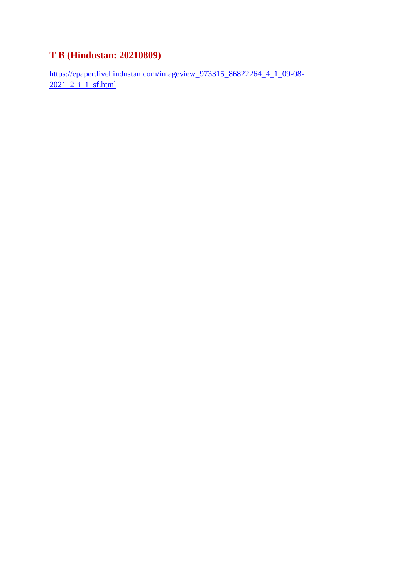## **T B (Hindustan: 20210809)**

https://epaper.livehindustan.com/imageview\_973315\_86822264\_4\_1\_09-08- 2021 2 i 1 sf.html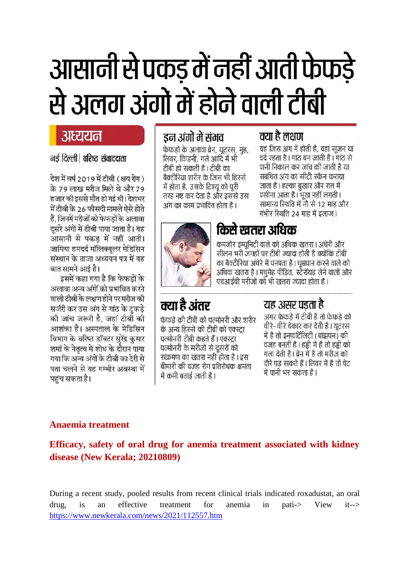# आसानी से पकड़ में नहीं आती फेफड़े से अलग अंगों में होने वाली टीबी

## अध्ययन

## नर्ड दिल्ली । वरिष्ट संवाददाता

देश में वर्ष 2019 में टीबी (क्षय रोग) के 79 लाख मरीज मिले थे और 79 हजार की इससे मौत हो गई थी। देशभर में टीबी के 26 फीसदी मामले ऐसे होते हैं. जिनमें मरीजों को फेफडों के अलावा दुसरे अंगों में टीबी पाया जाता है। यह आसानी से पकड में नहीं आती। जामिया हमदर्द मॉलिक्यलर मेडिसिन संस्थान के ताजा अध्ययन पत्र में यह बात सामने आई है।

इसमें कहा गया है कि फेफड़ों के अलावा अन्य अंगों को प्रभावित करने वाली टीबी के लक्षण होने पर मरीज की सर्जरी कर उस अंग से गांठ के टुकडे की जांच जरूरी है, जहां टीबी की आशंका है। अस्पताल के मेडिसिन विभाग के वरिष्ठ डॉक्टर सुरेंद्र कुमार शर्मा के नेतृत्व में शोध के दौरान पाया गया कि अन्य अंगों के टीबी का देरी से पता चलने से यह गम्भीर अवस्था में पहंच सकता है।

## डन अंगों में संभव

फेफडों के अलावा ब्रेन, यटरस, मंह, लिवर, किडनी, गले आदि में भी टीबी हो सकती है। टीबी का बैक्टीरिया शरीर के जिस भी हिस्से में होता है, उसके टिश्य को पूरी तरह नष्ट कर देता है और इससे उस अंग का काम प्रभावित होता है।

## क्या है लक्षण

यह जिस अंग में होती है, वहां सजन या दर्द रहता है। गांठ बन जाती है। गांठ से पानी निकाल कर जांच की जाती है या संबंधित अंग का सीटी स्कैन कराया जाता है। हल्का बुखार और रात में पसीना आता है। भूख नहीं लगती। सामान्य स्थिति में नौ से 12 माह और गंभीर स्थिति 24 माह में इलाज।



## किसे खतरा अधिक

कमजोर इम्यूनिटी वाले को अधिक खतरा। अंधेरी और सीलन भरी जगहों पर टीबी ज्यादा होती है क्योंकि टीबी का बैक्टीरिया अंधेरे में पनपता है । धम्रपान करने वाले को अधिक खतरा है । मधुमेह पीड़ित, स्टेरॉयड लेने वालों और एचआईवी मरीजों को भी खतरा ज्यादा होता है ।

## क्या है अंतर

फेफडे की टीबी को पल्मोनरी और शरीर के अन्य हिस्से की टीबी को एक्स्टा पल्मोनरी टीबी कहते हैं। एक्स्टा पल्मोनरी के मरीजों से दूसरों को संक्रमण का खतरा नहीं होता है। इस बीमारी की वजह रोग प्रतिरोधक क्षमता में कमी बताई जाती है।

## यह असर पडता है

अगर फेफडे में टीबी है तो फेफडे को धीरे–धीरे बेकार कर देती है। यूटरस में है तो इनफर्टिलिटी (बांझपन) की वजह बनती है। हड्डी में है तो हड्डी को गला देती है। ब्रेन में है तो मरीज को दौरे पड सकते हैं । लिवर में है तो पेट में पानी भर सकता है।

## **Anaemia treatment**

**Efficacy, safety of oral drug for anemia treatment associated with kidney disease (New Kerala; 20210809)**

During a recent study, pooled results from recent clinical trials indicated roxadustat, an oral drug, is an effective treatment for anemia in pati-> View it--> https://www.newkerala.com/news/2021/112557.htm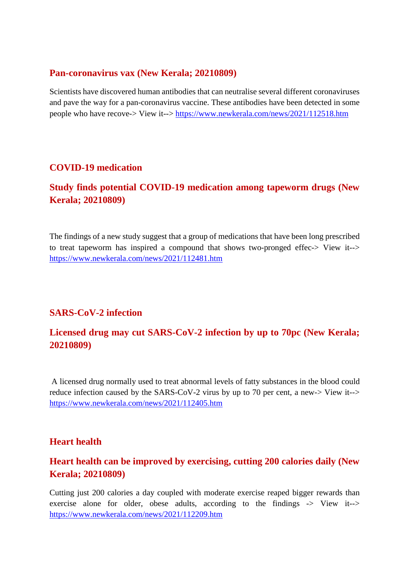#### **Pan-coronavirus vax (New Kerala; 20210809)**

Scientists have discovered human antibodies that can neutralise several different coronaviruses and pave the way for a pan-coronavirus vaccine. These antibodies have been detected in some people who have recove-> View it--> https://www.newkerala.com/news/2021/112518.htm

#### **COVID-19 medication**

## **Study finds potential COVID-19 medication among tapeworm drugs (New Kerala; 20210809)**

The findings of a new study suggest that a group of medications that have been long prescribed to treat tapeworm has inspired a compound that shows two-pronged effec-> View it--> https://www.newkerala.com/news/2021/112481.htm

## **SARS-CoV-2 infection**

## **Licensed drug may cut SARS-CoV-2 infection by up to 70pc (New Kerala; 20210809)**

A licensed drug normally used to treat abnormal levels of fatty substances in the blood could reduce infection caused by the SARS-CoV-2 virus by up to 70 per cent, a new-> View it--> https://www.newkerala.com/news/2021/112405.htm

#### **Heart health**

## **Heart health can be improved by exercising, cutting 200 calories daily (New Kerala; 20210809)**

Cutting just 200 calories a day coupled with moderate exercise reaped bigger rewards than exercise alone for older, obese adults, according to the findings  $\rightarrow$  View it- $\rightarrow$ https://www.newkerala.com/news/2021/112209.htm